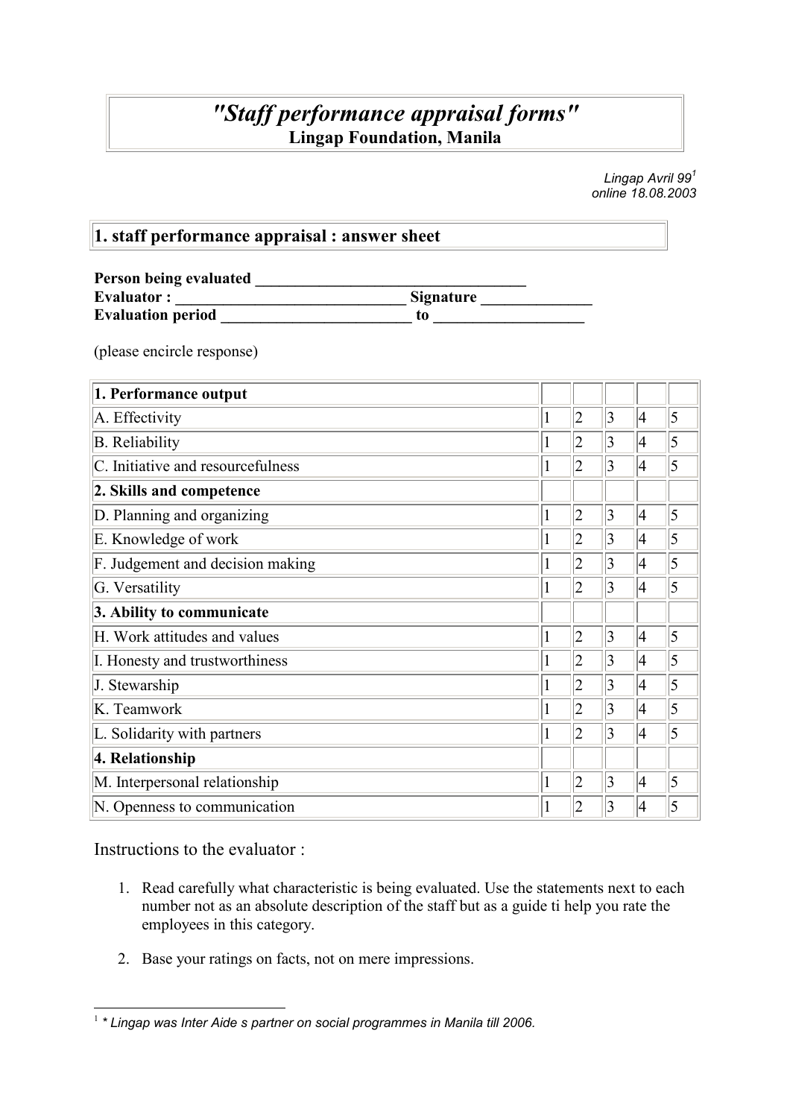### "Staff performance appraisal forms" Lingap Foundation, Manila

Lingap Avril  $99<sup>1</sup>$ online 18.08.2003

#### 1. staff performance appraisal : answer sheet

| Person being evaluated   |                  |
|--------------------------|------------------|
| <b>Evaluator:</b>        | <b>Signature</b> |
| <b>Evaluation period</b> | to               |

(please encircle response)

| 1. Performance output             |  |                |                 |                 |   |
|-----------------------------------|--|----------------|-----------------|-----------------|---|
| A. Effectivity                    |  | $\overline{2}$ | $ 3\rangle$     | $\vert 4 \vert$ | 5 |
| <b>B.</b> Reliability             |  | $\overline{2}$ | $\vert 3 \vert$ | 4               | 5 |
| C. Initiative and resourcefulness |  | $\overline{2}$ | 3               | 4               | 5 |
| 2. Skills and competence          |  |                |                 |                 |   |
| D. Planning and organizing        |  | $\overline{2}$ | $ 3\rangle$     | 4               | 5 |
| E. Knowledge of work              |  | 2              | 3               | 4               | 5 |
| F. Judgement and decision making  |  | $\overline{2}$ | 3               | 4               | 5 |
| G. Versatility                    |  | $\overline{2}$ | 3               | 4               | 5 |
| 3. Ability to communicate         |  |                |                 |                 |   |
| H. Work attitudes and values      |  | $\overline{2}$ | 3               | 4               | 5 |
| I. Honesty and trustworthiness    |  | $\overline{2}$ | $\vert 3 \vert$ | 4               | 5 |
| J. Stewarship                     |  | $\overline{2}$ | 3               | $\vert 4$       | 5 |
| K. Teamwork                       |  | $\overline{2}$ | 3               | $\vert 4 \vert$ | 5 |
| L. Solidarity with partners       |  | $\overline{2}$ | 3               | 4               | 5 |
| 4. Relationship                   |  |                |                 |                 |   |
| M. Interpersonal relationship     |  | $\overline{2}$ | 3               | 4               | 5 |
| N. Openness to communication      |  | 2              | 3               | 4               | 5 |

Instructions to the evaluator :

- 1. Read carefully what characteristic is being evaluated. Use the statements next to each number not as an absolute description of the staff but as a guide ti help you rate the employees in this category.
- 2. Base your ratings on facts, not on mere impressions.

 1 \* Lingap was Inter Aide s partner on social programmes in Manila till 2006.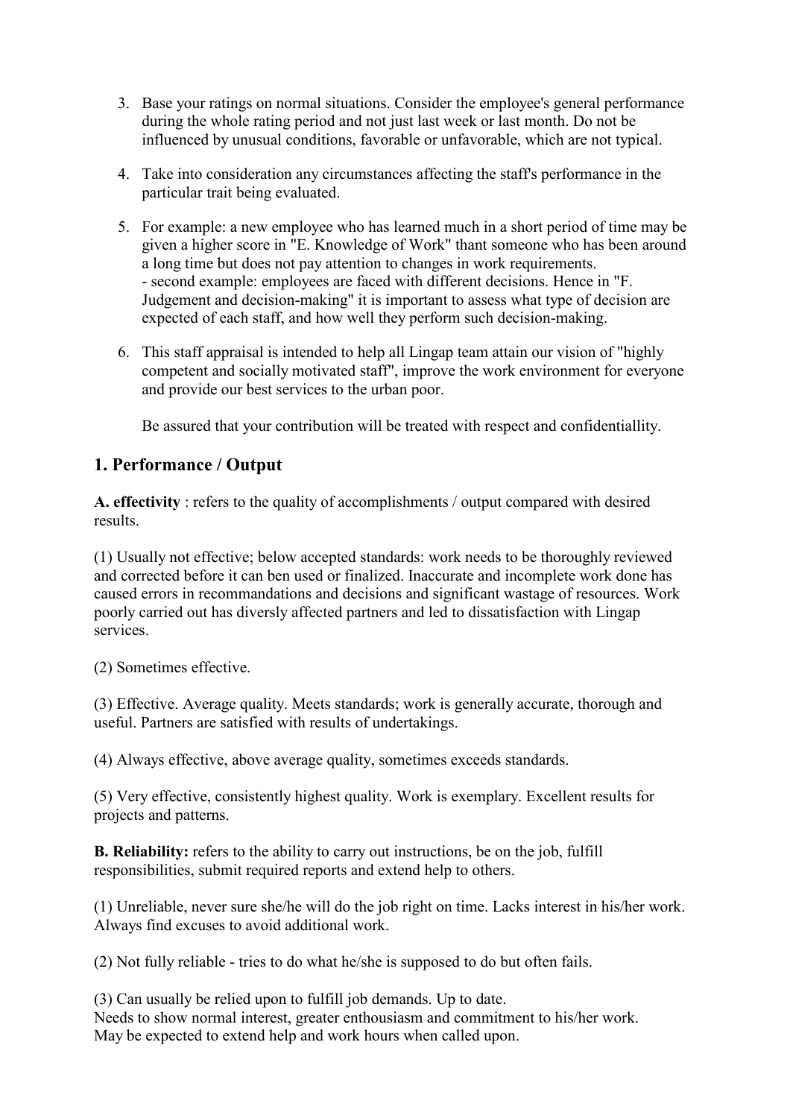- 3. Base your ratings on normal situations. Consider the employee's general performance during the whole rating period and not just last week or last month. Do not be influenced by unusual conditions, favorable or unfavorable, which are not typical.
- 4. Take into consideration any circumstances affecting the staff's performance in the particular trait being evaluated.
- 5. For example: a new employee who has learned much in a short period of time may be given a higher score in "E. Knowledge of Work" thant someone who has been around a long time but does not pay attention to changes in work requirements. - second example: employees are faced with different decisions. Hence in "F. Judgement and decision-making" it is important to assess what type of decision are expected of each staff, and how well they perform such decision-making.
- 6. This staff appraisal is intended to help all Lingap team attain our vision of "highly competent and socially motivated staff", improve the work environment for everyone and provide our best services to the urban poor.

Be assured that your contribution will be treated with respect and confidentiallity.

#### 1. Performance / Output

A. effectivity : refers to the quality of accomplishments / output compared with desired results.

(1) Usually not effective; below accepted standards: work needs to be thoroughly reviewed and corrected before it can ben used or finalized. Inaccurate and incomplete work done has caused errors in recommandations and decisions and significant wastage of resources. Work poorly carried out has diversly affected partners and led to dissatisfaction with Lingap services.

(2) Sometimes effective.

(3) Effective. Average quality. Meets standards; work is generally accurate, thorough and useful. Partners are satisfied with results of undertakings.

(4) Always effective, above average quality, sometimes exceeds standards.

(5) Very effective, consistently highest quality. Work is exemplary. Excellent results for projects and patterns.

B. Reliability: refers to the ability to carry out instructions, be on the job, fulfill responsibilities, submit required reports and extend help to others.

(1) Unreliable, never sure she/he will do the job right on time. Lacks interest in his/her work. Always find excuses to avoid additional work.

(2) Not fully reliable - tries to do what he/she is supposed to do but often fails.

(3) Can usually be relied upon to fulfill job demands. Up to date. Needs to show normal interest, greater enthousiasm and commitment to his/her work. May be expected to extend help and work hours when called upon.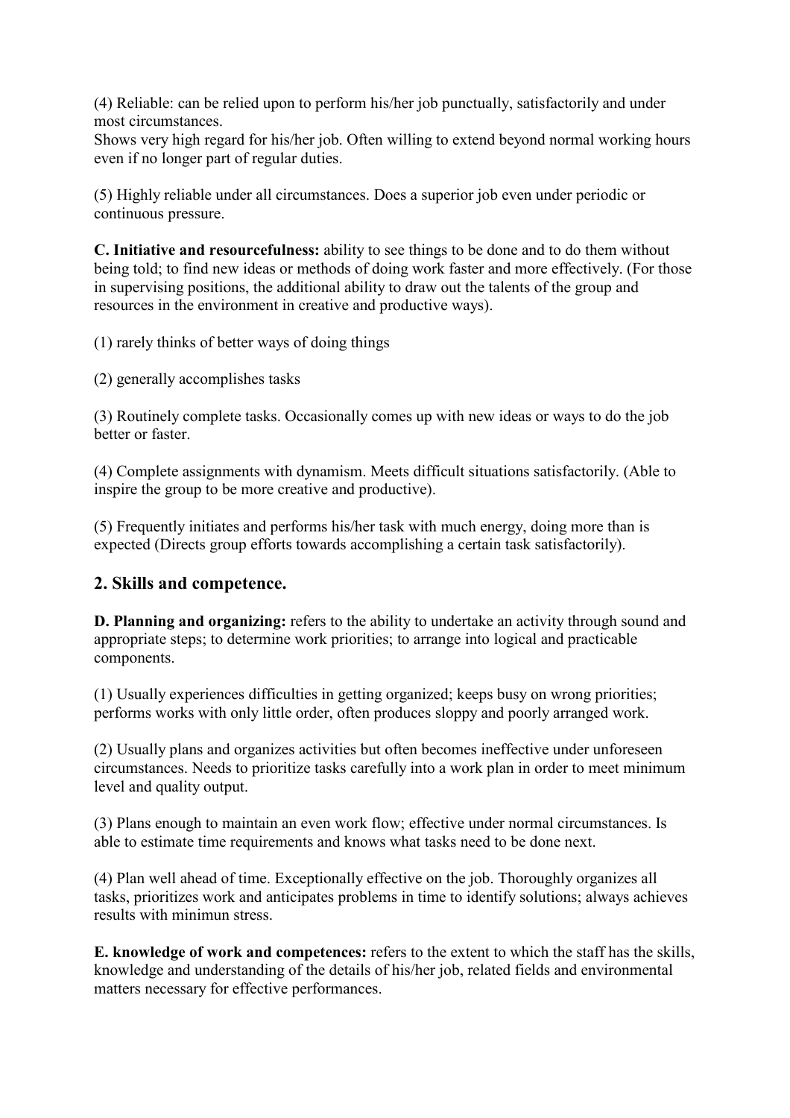(4) Reliable: can be relied upon to perform his/her job punctually, satisfactorily and under most circumstances.

Shows very high regard for his/her job. Often willing to extend beyond normal working hours even if no longer part of regular duties.

(5) Highly reliable under all circumstances. Does a superior job even under periodic or continuous pressure.

C. Initiative and resourcefulness: ability to see things to be done and to do them without being told; to find new ideas or methods of doing work faster and more effectively. (For those in supervising positions, the additional ability to draw out the talents of the group and resources in the environment in creative and productive ways).

(1) rarely thinks of better ways of doing things

(2) generally accomplishes tasks

(3) Routinely complete tasks. Occasionally comes up with new ideas or ways to do the job better or faster.

(4) Complete assignments with dynamism. Meets difficult situations satisfactorily. (Able to inspire the group to be more creative and productive).

(5) Frequently initiates and performs his/her task with much energy, doing more than is expected (Directs group efforts towards accomplishing a certain task satisfactorily).

#### 2. Skills and competence.

D. Planning and organizing: refers to the ability to undertake an activity through sound and appropriate steps; to determine work priorities; to arrange into logical and practicable components.

(1) Usually experiences difficulties in getting organized; keeps busy on wrong priorities; performs works with only little order, often produces sloppy and poorly arranged work.

(2) Usually plans and organizes activities but often becomes ineffective under unforeseen circumstances. Needs to prioritize tasks carefully into a work plan in order to meet minimum level and quality output.

(3) Plans enough to maintain an even work flow; effective under normal circumstances. Is able to estimate time requirements and knows what tasks need to be done next.

(4) Plan well ahead of time. Exceptionally effective on the job. Thoroughly organizes all tasks, prioritizes work and anticipates problems in time to identify solutions; always achieves results with minimun stress.

E. knowledge of work and competences: refers to the extent to which the staff has the skills, knowledge and understanding of the details of his/her job, related fields and environmental matters necessary for effective performances.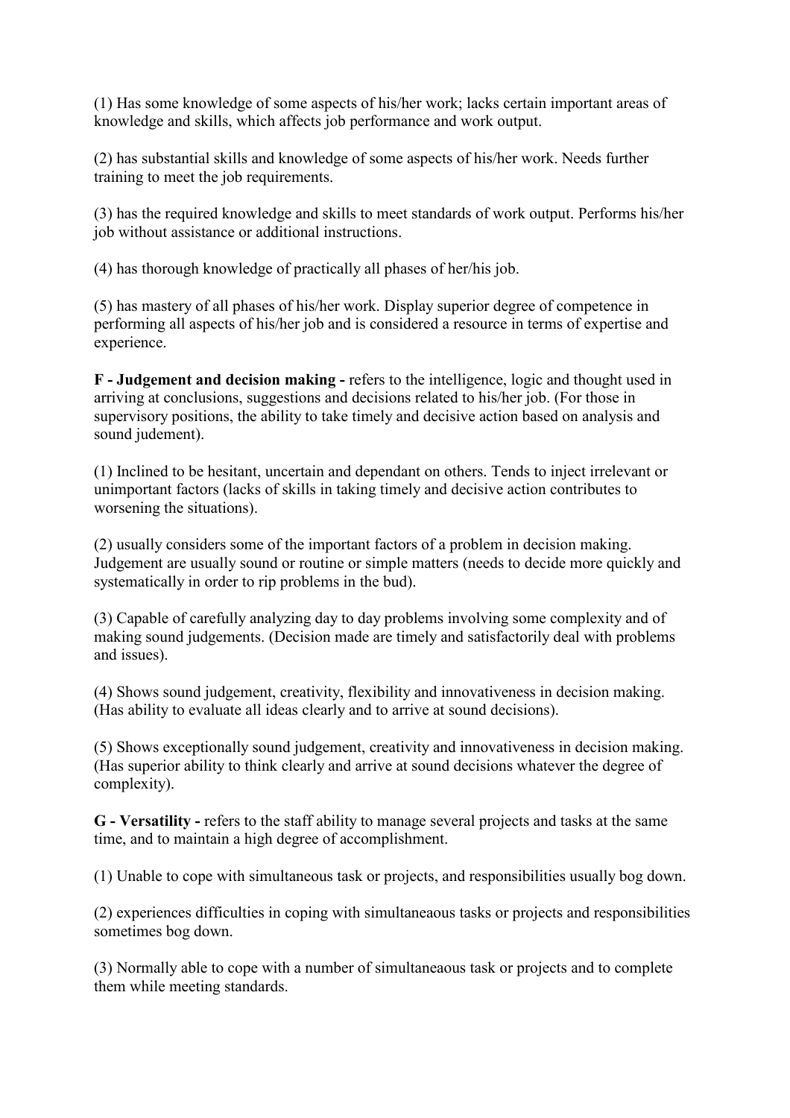(1) Has some knowledge of some aspects of his/her work; lacks certain important areas of knowledge and skills, which affects job performance and work output.

(2) has substantial skills and knowledge of some aspects of his/her work. Needs further training to meet the job requirements.

(3) has the required knowledge and skills to meet standards of work output. Performs his/her job without assistance or additional instructions.

(4) has thorough knowledge of practically all phases of her/his job.

(5) has mastery of all phases of his/her work. Display superior degree of competence in performing all aspects of his/her job and is considered a resource in terms of expertise and experience.

F - Judgement and decision making - refers to the intelligence, logic and thought used in arriving at conclusions, suggestions and decisions related to his/her job. (For those in supervisory positions, the ability to take timely and decisive action based on analysis and sound judement).

(1) Inclined to be hesitant, uncertain and dependant on others. Tends to inject irrelevant or unimportant factors (lacks of skills in taking timely and decisive action contributes to worsening the situations).

(2) usually considers some of the important factors of a problem in decision making. Judgement are usually sound or routine or simple matters (needs to decide more quickly and systematically in order to rip problems in the bud).

(3) Capable of carefully analyzing day to day problems involving some complexity and of making sound judgements. (Decision made are timely and satisfactorily deal with problems and issues).

(4) Shows sound judgement, creativity, flexibility and innovativeness in decision making. (Has ability to evaluate all ideas clearly and to arrive at sound decisions).

(5) Shows exceptionally sound judgement, creativity and innovativeness in decision making. (Has superior ability to think clearly and arrive at sound decisions whatever the degree of complexity).

G - Versatility - refers to the staff ability to manage several projects and tasks at the same time, and to maintain a high degree of accomplishment.

(1) Unable to cope with simultaneous task or projects, and responsibilities usually bog down.

(2) experiences difficulties in coping with simultaneaous tasks or projects and responsibilities sometimes bog down.

(3) Normally able to cope with a number of simultaneaous task or projects and to complete them while meeting standards.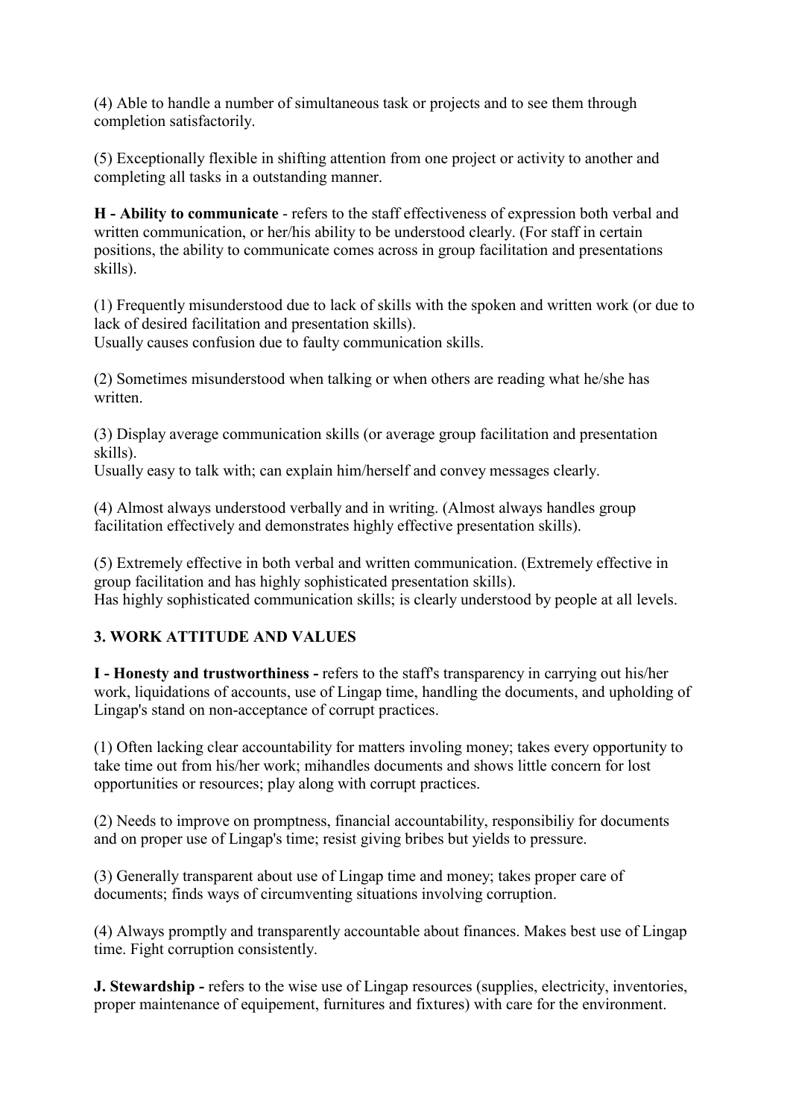(4) Able to handle a number of simultaneous task or projects and to see them through completion satisfactorily.

(5) Exceptionally flexible in shifting attention from one project or activity to another and completing all tasks in a outstanding manner.

H - Ability to communicate - refers to the staff effectiveness of expression both verbal and written communication, or her/his ability to be understood clearly. (For staff in certain positions, the ability to communicate comes across in group facilitation and presentations skills).

(1) Frequently misunderstood due to lack of skills with the spoken and written work (or due to lack of desired facilitation and presentation skills).

Usually causes confusion due to faulty communication skills.

(2) Sometimes misunderstood when talking or when others are reading what he/she has written.

(3) Display average communication skills (or average group facilitation and presentation skills).

Usually easy to talk with; can explain him/herself and convey messages clearly.

(4) Almost always understood verbally and in writing. (Almost always handles group facilitation effectively and demonstrates highly effective presentation skills).

(5) Extremely effective in both verbal and written communication. (Extremely effective in group facilitation and has highly sophisticated presentation skills). Has highly sophisticated communication skills; is clearly understood by people at all levels.

#### 3. WORK ATTITUDE AND VALUES

I - Honesty and trustworthiness - refers to the staff's transparency in carrying out his/her work, liquidations of accounts, use of Lingap time, handling the documents, and upholding of Lingap's stand on non-acceptance of corrupt practices.

(1) Often lacking clear accountability for matters involing money; takes every opportunity to take time out from his/her work; mihandles documents and shows little concern for lost opportunities or resources; play along with corrupt practices.

(2) Needs to improve on promptness, financial accountability, responsibiliy for documents and on proper use of Lingap's time; resist giving bribes but yields to pressure.

(3) Generally transparent about use of Lingap time and money; takes proper care of documents; finds ways of circumventing situations involving corruption.

(4) Always promptly and transparently accountable about finances. Makes best use of Lingap time. Fight corruption consistently.

J. Stewardship - refers to the wise use of Lingap resources (supplies, electricity, inventories, proper maintenance of equipement, furnitures and fixtures) with care for the environment.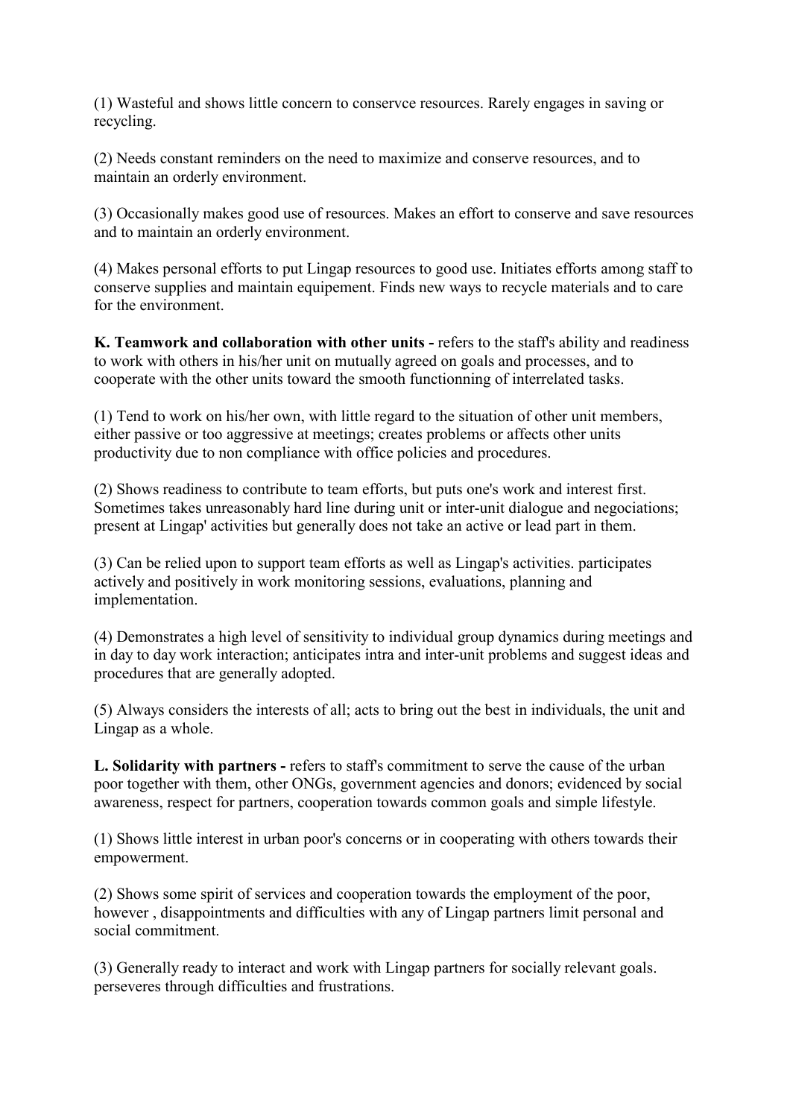(1) Wasteful and shows little concern to conservce resources. Rarely engages in saving or recycling.

(2) Needs constant reminders on the need to maximize and conserve resources, and to maintain an orderly environment.

(3) Occasionally makes good use of resources. Makes an effort to conserve and save resources and to maintain an orderly environment.

(4) Makes personal efforts to put Lingap resources to good use. Initiates efforts among staff to conserve supplies and maintain equipement. Finds new ways to recycle materials and to care for the environment.

K. Teamwork and collaboration with other units - refers to the staff's ability and readiness to work with others in his/her unit on mutually agreed on goals and processes, and to cooperate with the other units toward the smooth functionning of interrelated tasks.

(1) Tend to work on his/her own, with little regard to the situation of other unit members, either passive or too aggressive at meetings; creates problems or affects other units productivity due to non compliance with office policies and procedures.

(2) Shows readiness to contribute to team efforts, but puts one's work and interest first. Sometimes takes unreasonably hard line during unit or inter-unit dialogue and negociations; present at Lingap' activities but generally does not take an active or lead part in them.

(3) Can be relied upon to support team efforts as well as Lingap's activities. participates actively and positively in work monitoring sessions, evaluations, planning and implementation.

(4) Demonstrates a high level of sensitivity to individual group dynamics during meetings and in day to day work interaction; anticipates intra and inter-unit problems and suggest ideas and procedures that are generally adopted.

(5) Always considers the interests of all; acts to bring out the best in individuals, the unit and Lingap as a whole.

L. Solidarity with partners - refers to staff's commitment to serve the cause of the urban poor together with them, other ONGs, government agencies and donors; evidenced by social awareness, respect for partners, cooperation towards common goals and simple lifestyle.

(1) Shows little interest in urban poor's concerns or in cooperating with others towards their empowerment.

(2) Shows some spirit of services and cooperation towards the employment of the poor, however , disappointments and difficulties with any of Lingap partners limit personal and social commitment.

(3) Generally ready to interact and work with Lingap partners for socially relevant goals. perseveres through difficulties and frustrations.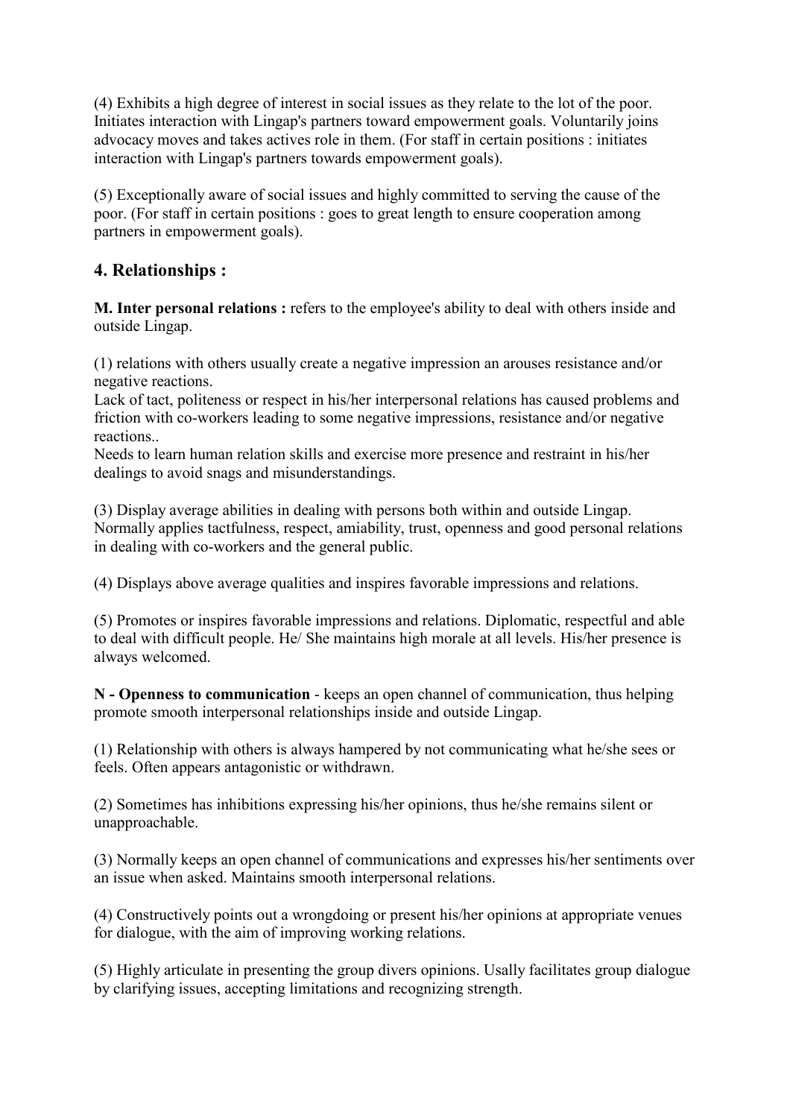(4) Exhibits a high degree of interest in social issues as they relate to the lot of the poor. Initiates interaction with Lingap's partners toward empowerment goals. Voluntarily joins advocacy moves and takes actives role in them. (For staff in certain positions : initiates interaction with Lingap's partners towards empowerment goals).

(5) Exceptionally aware of social issues and highly committed to serving the cause of the poor. (For staff in certain positions : goes to great length to ensure cooperation among partners in empowerment goals).

#### 4. Relationships :

M. Inter personal relations : refers to the employee's ability to deal with others inside and outside Lingap.

(1) relations with others usually create a negative impression an arouses resistance and/or negative reactions.

Lack of tact, politeness or respect in his/her interpersonal relations has caused problems and friction with co-workers leading to some negative impressions, resistance and/or negative reactions..

Needs to learn human relation skills and exercise more presence and restraint in his/her dealings to avoid snags and misunderstandings.

(3) Display average abilities in dealing with persons both within and outside Lingap. Normally applies tactfulness, respect, amiability, trust, openness and good personal relations in dealing with co-workers and the general public.

(4) Displays above average qualities and inspires favorable impressions and relations.

(5) Promotes or inspires favorable impressions and relations. Diplomatic, respectful and able to deal with difficult people. He/ She maintains high morale at all levels. His/her presence is always welcomed.

N - Openness to communication - keeps an open channel of communication, thus helping promote smooth interpersonal relationships inside and outside Lingap.

(1) Relationship with others is always hampered by not communicating what he/she sees or feels. Often appears antagonistic or withdrawn.

(2) Sometimes has inhibitions expressing his/her opinions, thus he/she remains silent or unapproachable.

(3) Normally keeps an open channel of communications and expresses his/her sentiments over an issue when asked. Maintains smooth interpersonal relations.

(4) Constructively points out a wrongdoing or present his/her opinions at appropriate venues for dialogue, with the aim of improving working relations.

(5) Highly articulate in presenting the group divers opinions. Usally facilitates group dialogue by clarifying issues, accepting limitations and recognizing strength.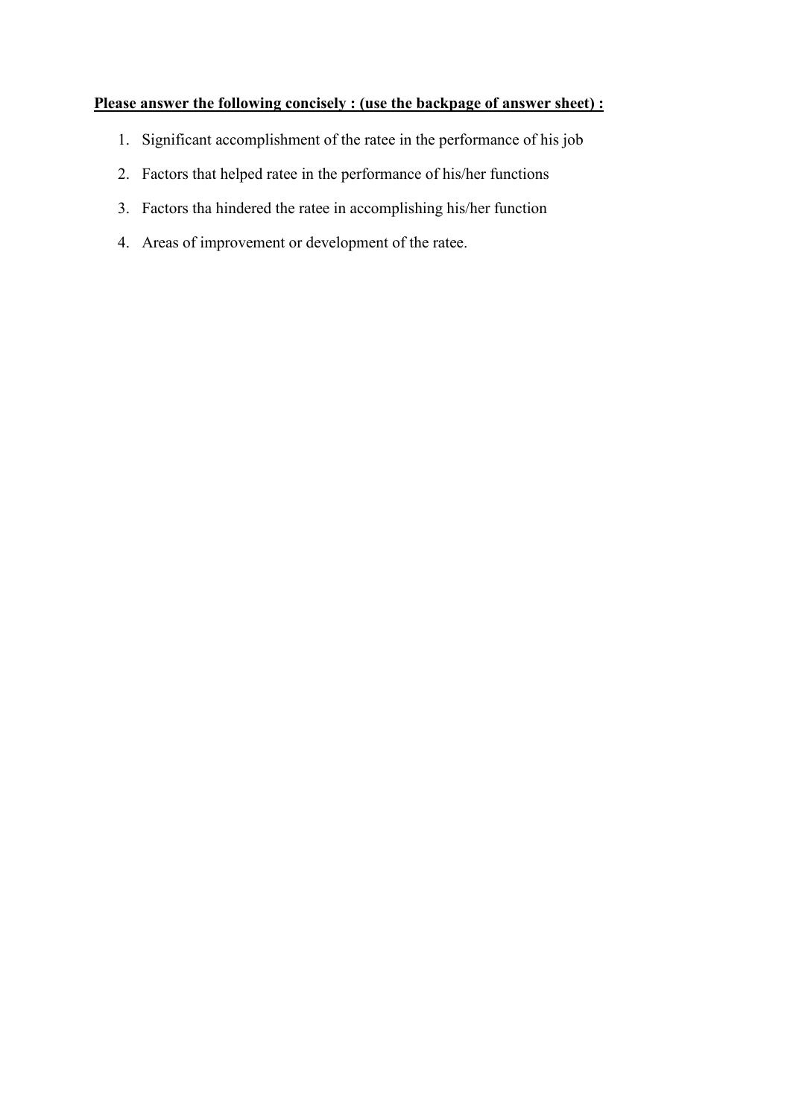#### Please answer the following concisely : (use the backpage of answer sheet) :

- 1. Significant accomplishment of the ratee in the performance of his job
- 2. Factors that helped ratee in the performance of his/her functions
- 3. Factors tha hindered the ratee in accomplishing his/her function
- 4. Areas of improvement or development of the ratee.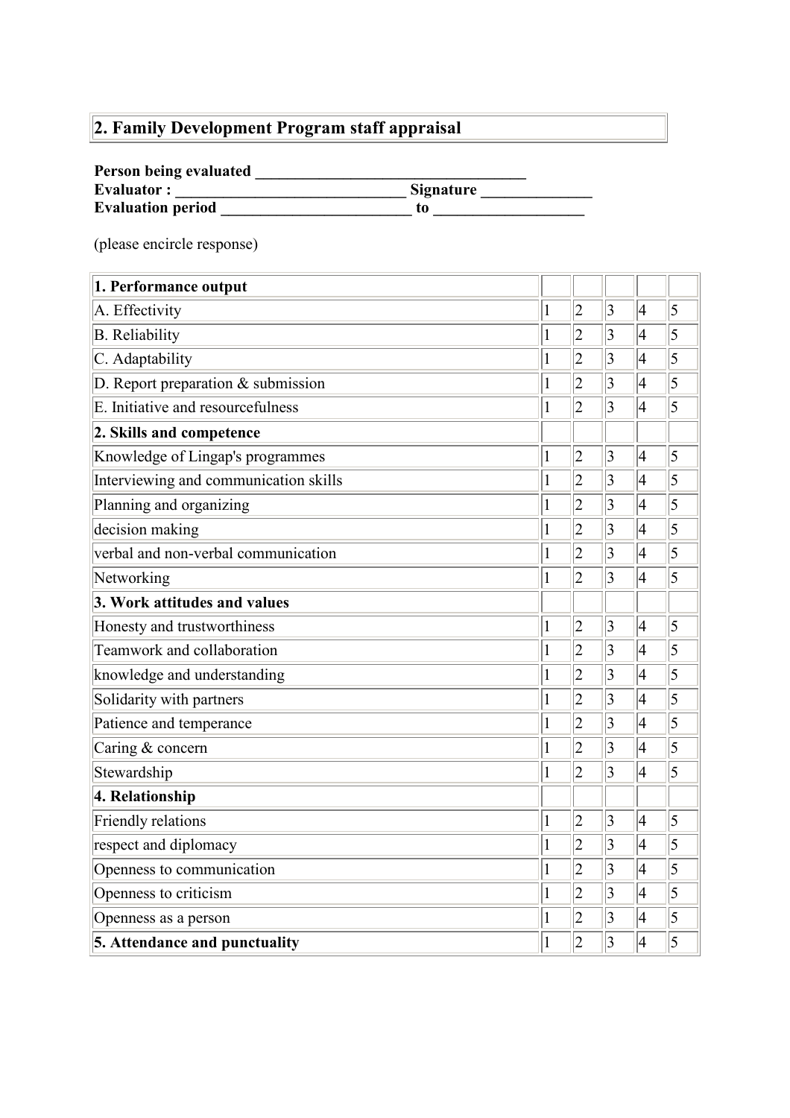# 2. Family Development Program staff appraisal

### Person being evaluated \_\_\_\_\_\_\_\_\_\_\_\_\_\_\_\_\_\_\_\_\_\_\_\_\_\_\_\_\_\_\_\_\_\_

| <b>Evaluator:</b>        | <b>Signature</b> |
|--------------------------|------------------|
| <b>Evaluation period</b> | t0               |

(please encircle response)

| 1. Performance output                               |              |                |                |                |                |
|-----------------------------------------------------|--------------|----------------|----------------|----------------|----------------|
| A. Effectivity<br>$\mathbf{1}$                      |              | $ 2\>$         | $\vert$ 3      | 4              | $\overline{5}$ |
| <b>B.</b> Reliability                               | $\mathbf{1}$ | $\overline{2}$ | $\overline{3}$ | $\overline{4}$ | $\overline{5}$ |
| C. Adaptability<br>$\mathbf{1}$                     |              | $ 2\>$         | $\vert$ 3      | 4              | $\overline{5}$ |
| D. Report preparation & submission<br>$\mathbf{1}$  |              | $ 2\>$         | $\overline{3}$ | 4              | $\overline{5}$ |
| E. Initiative and resourcefulness                   | $\mathbf{1}$ | $\overline{2}$ | $\overline{3}$ | $\overline{4}$ | $\overline{5}$ |
| 2. Skills and competence                            |              |                |                |                |                |
| Knowledge of Lingap's programmes<br>$\mathbf{1}$    |              | $\overline{c}$ | $\overline{3}$ | 4              | $\overline{5}$ |
| Interviewing and communication skills               | $\mathbf{1}$ | $\overline{2}$ | $\overline{3}$ | 4              | $\overline{5}$ |
| Planning and organizing                             | $\mathbf{1}$ | $ 2\>$         | $\vert$ 3      | 4              | $\overline{5}$ |
| decision making                                     | $\mathbf{1}$ | $ 2\>$         | 3              | 4              | $\overline{5}$ |
| verbal and non-verbal communication<br>$\mathbf{1}$ |              | $ 2\>$         | $\overline{3}$ | 4              | $\overline{5}$ |
| Networking                                          | $\mathbf{1}$ | $\overline{2}$ | $\overline{3}$ | 4              | $\overline{5}$ |
| 3. Work attitudes and values                        |              |                |                |                |                |
| Honesty and trustworthiness                         | $\mathbf{1}$ | $ 2\>$         | $\vert$ 3      | 4              | $\overline{5}$ |
| Teamwork and collaboration<br>$\mathbf{1}$          |              | $ 2\>$         | $\overline{3}$ | $\vert 4$      | $\overline{5}$ |
| knowledge and understanding                         |              | $\overline{2}$ | $\overline{3}$ | 4              | $\overline{5}$ |
| Solidarity with partners                            |              | $\overline{2}$ | $\overline{3}$ | $\overline{4}$ | $\overline{5}$ |
| Patience and temperance                             |              | $ 2\>$         | $\vert$ 3      | 4              | $\overline{5}$ |
| Caring & concern                                    |              | $ 2\>$         | $\overline{3}$ | $\overline{4}$ | 5              |
| Stewardship                                         | $\mathbf{1}$ | $\overline{2}$ | $\overline{3}$ | $\overline{4}$ | $\overline{5}$ |
| 4. Relationship                                     |              |                |                |                |                |
| Friendly relations                                  | $\mathbf{1}$ | $ 2\>$         | $\vert$ 3      | 4              | $\overline{5}$ |
| respect and diplomacy                               | $\mathbf{1}$ | $ 2\>$         | $\overline{3}$ | $\overline{4}$ | $\overline{5}$ |
| Openness to communication                           | $\mathbf{1}$ | $\overline{c}$ | $\vert$ 3      | 4              | $\overline{5}$ |
| Openness to criticism                               | $\mathbf{1}$ | $\overline{2}$ | $\overline{3}$ | 4              | $\overline{5}$ |
| Openness as a person                                | $\mathbf{1}$ | $\overline{2}$ | $\overline{3}$ | $\vert 4$      | $\overline{5}$ |
| 5. Attendance and punctuality                       |              | $ 2\>$         | $\overline{3}$ | $\vert 4$      | $\overline{5}$ |